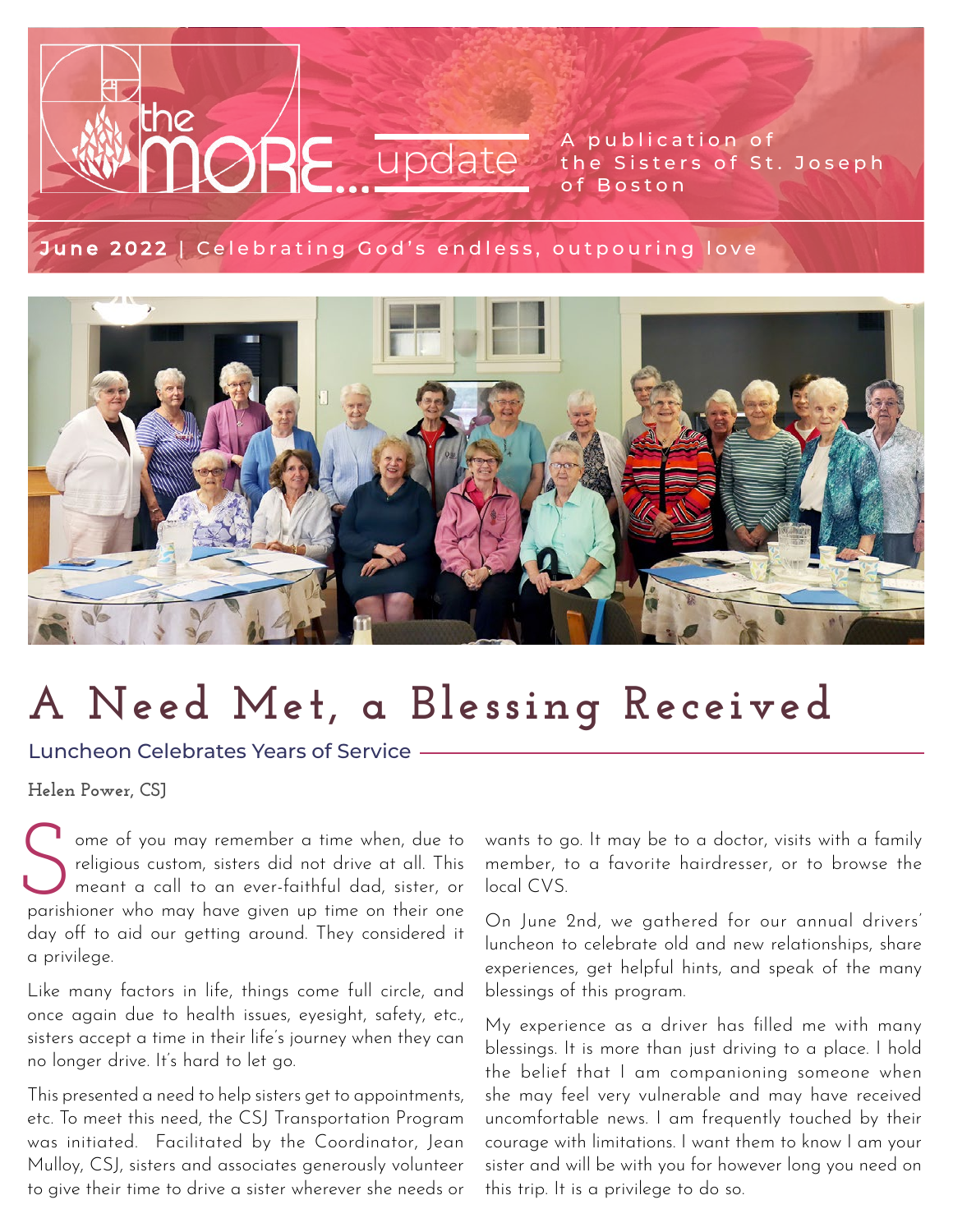### A publication of the Sisters of St. Joseph Update the Sister

### [June 2022 | Celebrating God's endless, outpouring love](https://www.csjboston.org/news-events/the-more-updates/)



# **A Need Met, a Blessing Received**

Luncheon Celebrates Years of Service

the

**Helen Power, CSJ**

ome of you may remember a time when, due to religious custom, sisters did not drive at all. This meant a call to an ever-faithful dad, sister, or Ome of you may remember a time when, due to religious custom, sisters did not drive at all. This meant a call to an ever-faithful dad, sister, or parishioner who may have given up time on their one day off to aid our getting around. They considered it a privilege.

Like many factors in life, things come full circle, and once again due to health issues, eyesight, safety, etc., sisters accept a time in their life's journey when they can no longer drive. It's hard to let go.

This presented a need to help sisters get to appointments, etc. To meet this need, the CSJ Transportation Program was initiated. Facilitated by the Coordinator, Jean Mulloy, CSJ, sisters and associates generously volunteer to give their time to drive a sister wherever she needs or

wants to go. It may be to a doctor, visits with a family member, to a favorite hairdresser, or to browse the local CVS.

On June 2nd, we gathered for our annual drivers' luncheon to celebrate old and new relationships, share experiences, get helpful hints, and speak of the many blessings of this program.

My experience as a driver has filled me with many blessings. It is more than just driving to a place. I hold the belief that I am companioning someone when she may feel very vulnerable and may have received uncomfortable news. I am frequently touched by their courage with limitations. I want them to know I am your sister and will be with you for however long you need on this trip. It is a privilege to do so.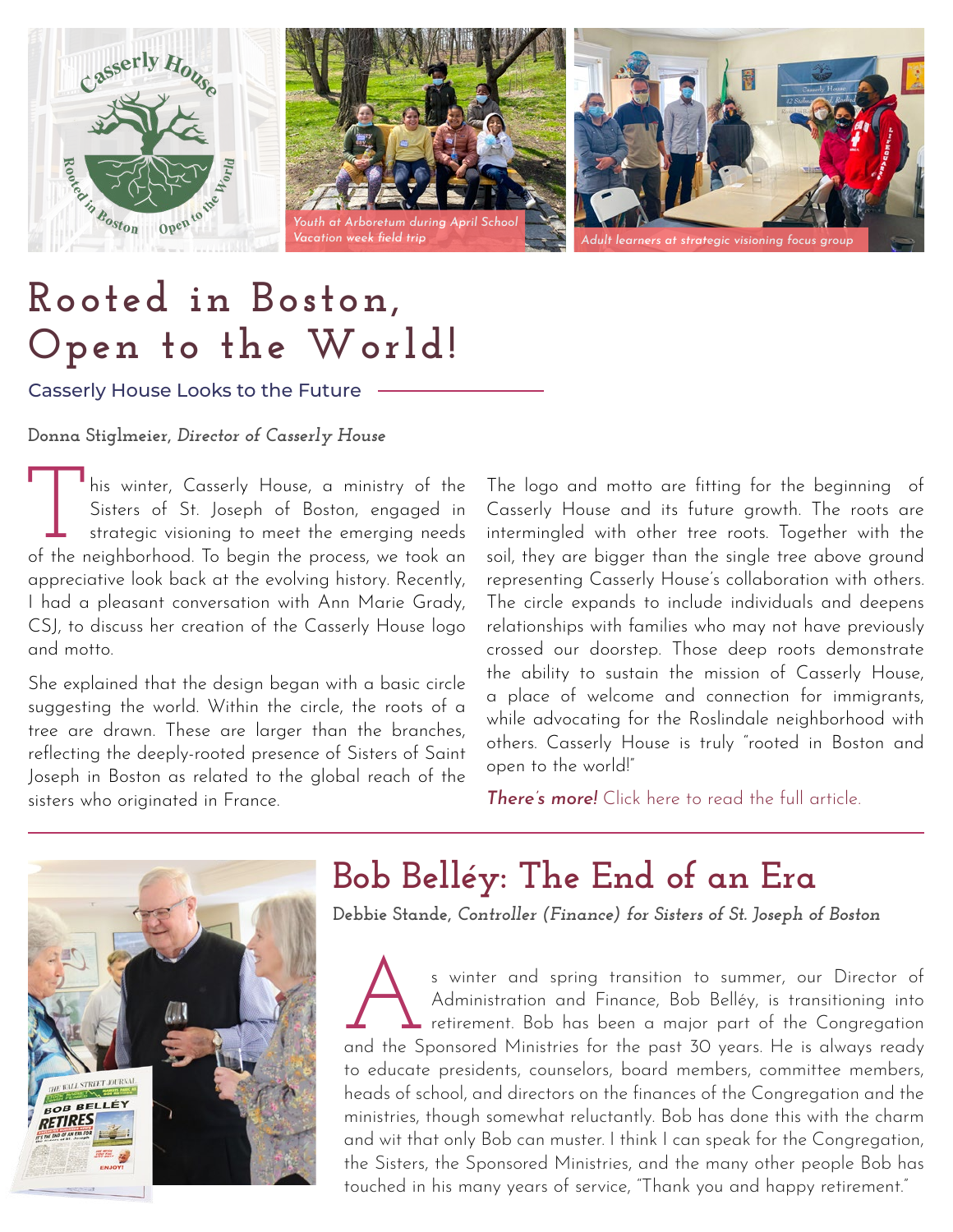





## **Rooted in Boston, Open to the World!**

Casserly House Looks to the Future

**Donna Stiglmeier,** *Director of Casserly House*

This winter, Casserly House, a ministry of the<br>Sisters of St. Joseph of Boston, engaged in<br>strategic visioning to meet the emerging needs<br>of the neighborhood To begin the process we took an Sisters of St. Joseph of Boston, engaged in strategic visioning to meet the emerging needs of the neighborhood. To begin the process, we took an appreciative look back at the evolving history. Recently, I had a pleasant conversation with Ann Marie Grady, CSJ, to discuss her creation of the Casserly House logo and motto.

She explained that the design began with a basic circle suggesting the world. Within the circle, the roots of a tree are drawn. These are larger than the branches, reflecting the deeply-rooted presence of Sisters of Saint Joseph in Boston as related to the global reach of the sisters who originated in France.

The logo and motto are fitting for the beginning of Casserly House and its future growth. The roots are intermingled with other tree roots. Together with the soil, they are bigger than the single tree above ground representing Casserly House's collaboration with others. The circle expands to include individuals and deepens relationships with families who may not have previously crossed our doorstep. Those deep roots demonstrate the ability to sustain the mission of Casserly House, a place of welcome and connection for immigrants, while advocating for the Roslindale neighborhood with others. Casserly House is truly "rooted in Boston and open to the world!"

*There's more!* [Click here to read the full article.](https://www.csjboston.org/6-15-22-rooted-in-boston-open-to-the-world-casserly-house-looks-to-the-future/)



## **Bob Belléy: The End of an Era**

**Debbie Stande,** *Controller (Finance) for Sisters of St. Joseph of Boston*

s winter and spring transition to summer, our Director of Administration and Finance, Bob Belléy, is transitioning into  $\blacktriangle$  retirement. Bob has been a major part of the Congregation s winter and spring transition to summer, our Director of Administration and Finance, Bob Belléy, is transitioning into retirement. Bob has been a major part of the Congregation and the Sponsored Ministries for the past 30 to educate presidents, counselors, board members, committee members, heads of school, and directors on the finances of the Congregation and the ministries, though somewhat reluctantly. Bob has done this with the charm and wit that only Bob can muster. I think I can speak for the Congregation, the Sisters, the Sponsored Ministries, and the many other people Bob has touched in his many years of service, "Thank you and happy retirement."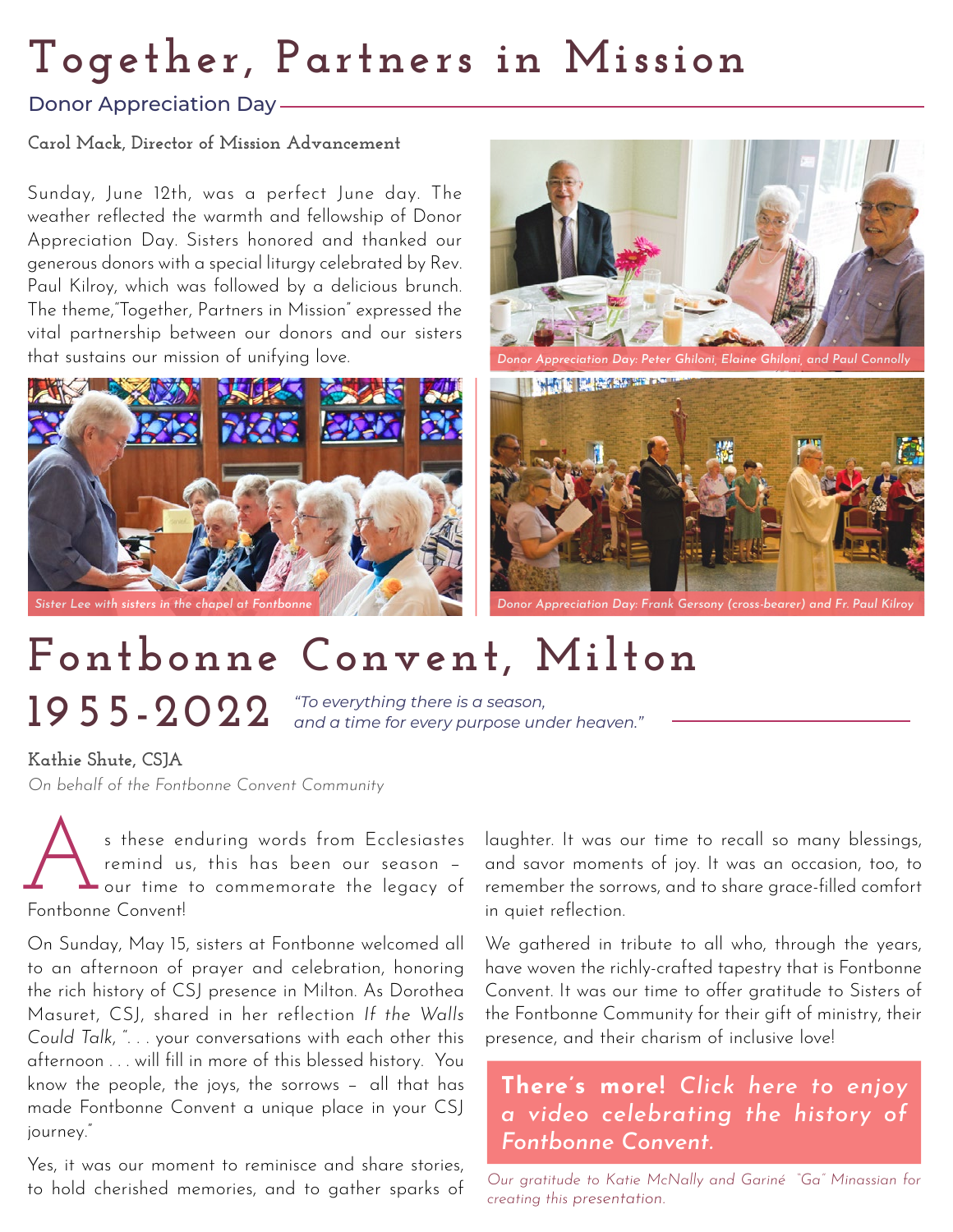# **Together, Partners in Mission**

### Donor Appreciation Day

#### **Carol Mack, Director of Mission Advancement**

Sunday, June 12th, was a perfect June day. The weather reflected the warmth and fellowship of Donor Appreciation Day. Sisters honored and thanked our generous donors with a special liturgy celebrated by Rev. Paul Kilroy, which was followed by a delicious brunch. The theme,"Together, Partners in Mission" expressed the vital partnership between our donors and our sisters that sustains our mission of unifying love.





*Donor Appreciation Day: Peter Ghiloni, Elaine Ghiloni, and Paul Connolly*



*Donor Appreciation Day: Frank Gersony (cross-bearer) and Fr. Paul Kilroy*

# **Fontbonne Convent, Milton**

**1955-2022**

*"To everything there is a season, and a time for every purpose under heaven."*

**Kathie Shute, CSJA**

*On behalf of the Fontbonne Convent Community* 

s these enduring words from Ecclesiastes remind us, this has been our season − our time to commemorate the legacy of s these e<br>
remind u<br>
Fontbonne Convent!

On Sunday, May 15, sisters at Fontbonne welcomed all to an afternoon of prayer and celebration, honoring the rich history of CSJ presence in Milton. As Dorothea Masuret, CSJ, shared in her reflection *If the Walls Could Talk*, ". . . your conversations with each other this afternoon . . . will fill in more of this blessed history. You know the people, the joys, the sorrows - all that has made Fontbonne Convent a unique place in your CSJ journey."

Yes, it was our moment to reminisce and share stories, to hold cherished memories, and to gather sparks of laughter. It was our time to recall so many blessings, and savor moments of joy. It was an occasion, too, to remember the sorrows, and to share grace-filled comfort in quiet reflection.

We gathered in tribute to all who, through the years, have woven the richly-crafted tapestry that is Fontbonne Convent. It was our time to offer gratitude to Sisters of the Fontbonne Community for their gift of ministry, their presence, and their charism of inclusive love!

### There's more! *Click here to enjoy [a video celebrating the history of](https://www.youtube.com/watch?v=xqpAEZ_bDOo)  Fontbonne Convent.*

*Our gratitude to Katie McNally and Gariné "Ga" Minassian for creating this presentation.*